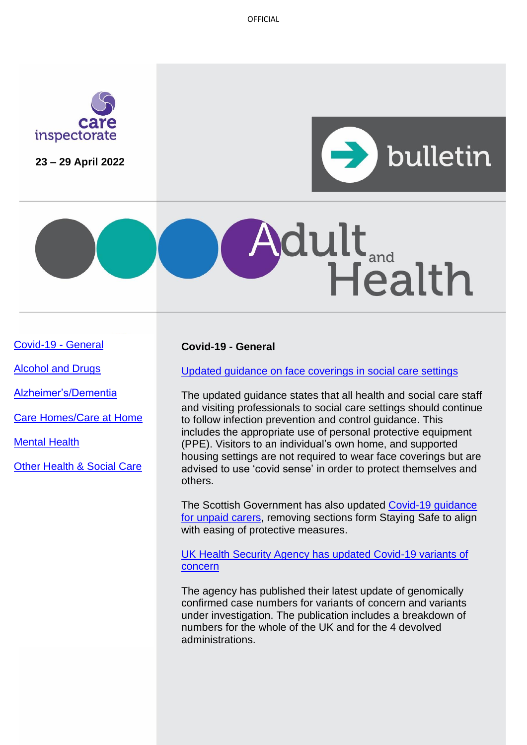

**23 – 29 April 2022**



# dult Health

[Covid-19 -](#page-0-0) General

[Alcohol and Drugs](#page-1-0)

[Alzheimer's/Dementia](#page-1-1)

[Care Homes/Care at Home](#page-2-0)

[Mental Health](#page-2-1)

[Other Health & Social Care](#page-3-0)

# <span id="page-0-0"></span>**Covid-19 - General**

[Updated guidance on face coverings in social care settings](https://www.gov.scot/publications/coronavirus-covid-19-use-of-face-coverings-in-social-care-settings-including-adult-care-homes/pages/overview/)

The updated guidance states that all health and social care staff and visiting professionals to social care settings should continue to follow infection prevention and control guidance. This includes the appropriate use of personal protective equipment (PPE). Visitors to an individual's own home, and supported housing settings are not required to wear face coverings but are advised to use 'covid sense' in order to protect themselves and others.

The Scottish Government has also updated [Covid-19 guidance](https://www.gov.scot/publications/coronavirus-covid-19-advice-for-unpaid-carers/)  [for unpaid carers,](https://www.gov.scot/publications/coronavirus-covid-19-advice-for-unpaid-carers/) removing sections form Staying Safe to align with easing of protective measures.

[UK Health Security Agency has updated Covid-19 variants of](https://www.gov.uk/government/publications/covid-19-variants-genomically-confirmed-case-numbers#full-publication-update-history)  [concern](https://www.gov.uk/government/publications/covid-19-variants-genomically-confirmed-case-numbers#full-publication-update-history) 

The agency has published their latest update of genomically confirmed case numbers for variants of concern and variants under investigation. The publication includes a breakdown of numbers for the whole of the UK and for the 4 devolved administrations.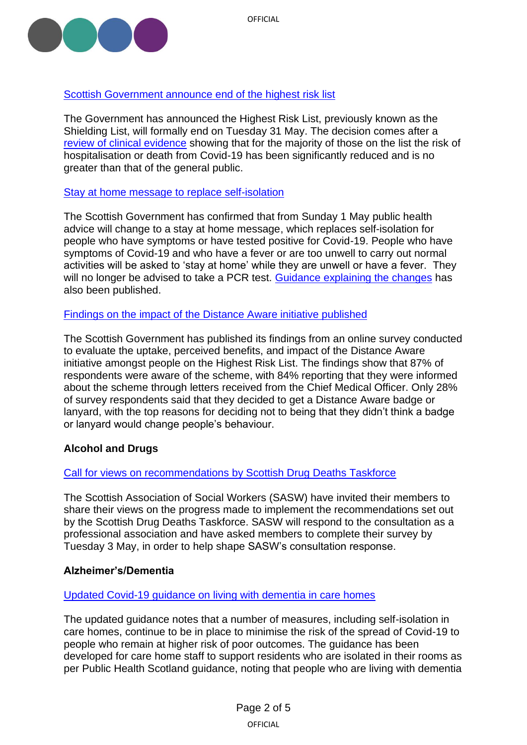

# [Scottish Government announce end of the highest risk list](https://www.gov.scot/news/end-of-the-highest-risk-list/)

The Government has announced the Highest Risk List, previously known as the Shielding List, will formally end on Tuesday 31 May. The decision comes after a [review of clinical evidence](https://www.gov.scot/publications/review-evidence-scottish-government-advice-people-scotlands-highest-risk-list/) showing that for the majority of those on the list the risk of hospitalisation or death from Covid-19 has been significantly reduced and is no greater than that of the general public.

# [Stay at home message to replace self-isolation](https://www.gov.scot/news/new-stay-at-home-guidance-published/)

The Scottish Government has confirmed that from Sunday 1 May public health advice will change to a stay at home message, which replaces self-isolation for people who have symptoms or have tested positive for Covid-19. People who have symptoms of Covid-19 and who have a fever or are too unwell to carry out normal activities will be asked to 'stay at home' while they are unwell or have a fever. They will no longer be advised to take a PCR test. [Guidance explaining the changes](https://www.gov.scot/publications/coronavirus-covid-19-getting-tested/) has also been published.

# [Findings on the impact of the Distance Aware initiative published](https://www.gov.scot/publications/distance-aware-scheme-survey-march-2022/pages/3/)

The Scottish Government has published its findings from an online survey conducted to evaluate the uptake, perceived benefits, and impact of the Distance Aware initiative amongst people on the Highest Risk List. The findings show that 87% of respondents were aware of the scheme, with 84% reporting that they were informed about the scheme through letters received from the Chief Medical Officer. Only 28% of survey respondents said that they decided to get a Distance Aware badge or lanyard, with the top reasons for deciding not to being that they didn't think a badge or lanyard would change people's behaviour.

# <span id="page-1-0"></span>**Alcohol and Drugs**

# [Call for views on recommendations by Scottish Drug Deaths Taskforce](https://www.basw.co.uk/media/news/2022/apr/scottish-drug-deaths-taskforce-recommendations-share-your-views)

The Scottish Association of Social Workers (SASW) have invited their members to share their views on the progress made to implement the recommendations set out by the Scottish Drug Deaths Taskforce. SASW will respond to the consultation as a professional association and have asked members to complete their survey by Tuesday 3 May, in order to help shape SASW's consultation response.

# <span id="page-1-1"></span>**Alzheimer's/Dementia**

#### [Updated Covid-19 guidance on living with dementia in care homes](https://www.gov.scot/publications/coronavirus-covid-19-living-with-dementia-in-care-homes/)

The updated guidance notes that a number of measures, including self-isolation in care homes, continue to be in place to minimise the risk of the spread of Covid-19 to people who remain at higher risk of poor outcomes. The guidance has been developed for care home staff to support residents who are isolated in their rooms as per Public Health Scotland guidance, noting that people who are living with dementia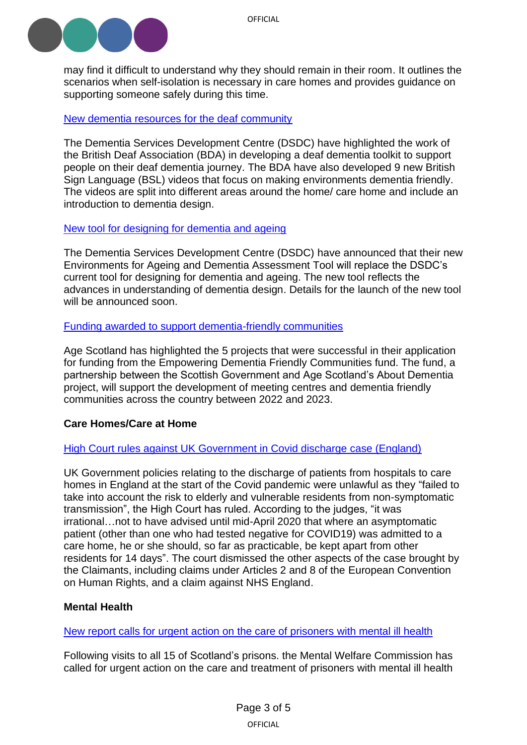

may find it difficult to understand why they should remain in their room. It outlines the scenarios when self-isolation is necessary in care homes and provides guidance on supporting someone safely during this time.

#### [New dementia resources for the deaf community](https://www.dementia.stir.ac.uk/newsblog/dementia-and-deafness)

The Dementia Services Development Centre (DSDC) have highlighted the work of the British Deaf Association (BDA) in developing a deaf dementia toolkit to support people on their deaf dementia journey. The BDA have also developed 9 new British Sign Language (BSL) videos that focus on making environments dementia friendly. The videos are split into different areas around the home/ care home and include an introduction to dementia design.

#### [New tool for designing for dementia and ageing](https://www.dementia.stir.ac.uk/newsblog/environments-for-ageing-and-dementia)

The Dementia Services Development Centre (DSDC) have announced that their new Environments for Ageing and Dementia Assessment Tool will replace the DSDC's current tool for designing for dementia and ageing. The new tool reflects the advances in understanding of dementia design. Details for the launch of the new tool will be announced soon.

#### [Funding awarded to support dementia-friendly communities](https://www.ageuk.org.uk/scotland/latest-news/2022/april/grant-recipients-announced-for-strand-of-empowering-dementia-friendly-communities-fund/)

Age Scotland has highlighted the 5 projects that were successful in their application for funding from the Empowering Dementia Friendly Communities fund. The fund, a partnership between the Scottish Government and Age Scotland's About Dementia project, will support the development of meeting centres and dementia friendly communities across the country between 2022 and 2023.

# <span id="page-2-0"></span>**Care Homes/Care at Home**

# High Court rules [against UK Government in Covid discharge case \(England\)](https://www.judiciary.uk/judgments/gardner-harris-v-secretary-of-state-for-health-and-social-care/)

UK Government policies relating to the discharge of patients from hospitals to care homes in England at the start of the Covid pandemic were unlawful as they "failed to take into account the risk to elderly and vulnerable residents from non-symptomatic transmission", the High Court has ruled. According to the judges, "it was irrational…not to have advised until mid-April 2020 that where an asymptomatic patient (other than one who had tested negative for COVID19) was admitted to a care home, he or she should, so far as practicable, be kept apart from other residents for 14 days". The court dismissed the other aspects of the case brought by the Claimants, including claims under Articles 2 and 8 of the European Convention on Human Rights, and a claim against NHS England.

# <span id="page-2-1"></span>**Mental Health**

# [New report calls for urgent action on the care of prisoners with mental ill health](https://www.mwcscot.org.uk/news/mental-health-services-scotlands-prisons-urgent-action-needed)

Following visits to all 15 of Scotland's prisons. the Mental Welfare Commission has called for urgent action on the care and treatment of prisoners with mental ill health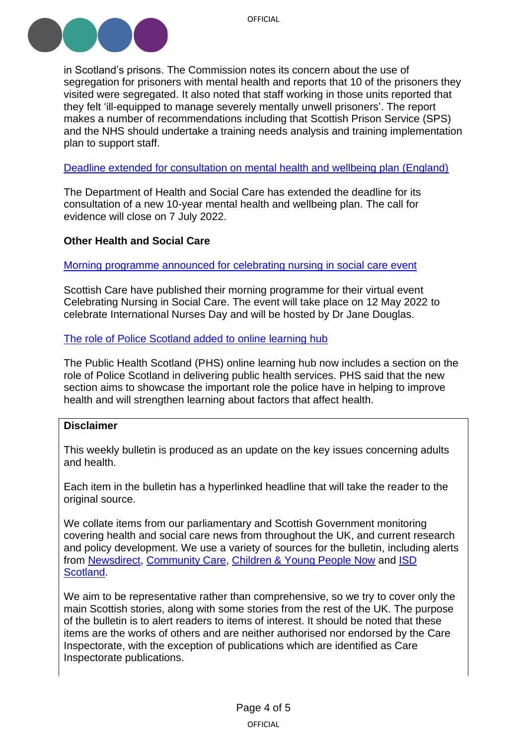

in Scotland's prisons. The Commission notes its concern about the use of segregation for prisoners with mental health and reports that 10 of the prisoners they visited were segregated. It also noted that staff working in those units reported that they felt 'ill-equipped to manage severely mentally unwell prisoners'. The report makes a number of recommendations including that Scottish Prison Service (SPS) and the NHS should undertake a training needs analysis and training implementation plan to support staff.

[Deadline extended for consultation on mental health and wellbeing plan \(England\)](https://www.gov.uk/government/consultations/mental-health-and-wellbeing-plan-discussion-paper-and-call-for-evidence#full-publication-update-history)

The Department of Health and Social Care has extended the deadline for its consultation of a new 10-year mental health and wellbeing plan. The call for evidence will close on 7 July 2022.

# <span id="page-3-0"></span>**Other Health and Social Care**

[Morning programme announced for celebrating nursing in social care event](https://scottishcare.org/celebrating-nursing-in-social-care-virtual-event-12-may/)

Scottish Care have published their morning programme for their virtual event Celebrating Nursing in Social Care. The event will take place on 12 May 2022 to celebrate International Nurses Day and will be hosted by Dr Jane Douglas.

#### [The role of Police Scotland added to online learning hub](https://publichealthscotland.scot/news/2022/april/working-with-the-police-to-improve-public-health-expansion-of-digital-learning-hub/)

The Public Health Scotland (PHS) online learning hub now includes a section on the role of Police Scotland in delivering public health services. PHS said that the new section aims to showcase the important role the police have in helping to improve health and will strengthen learning about factors that affect health.

#### **Disclaimer**

This weekly bulletin is produced as an update on the key issues concerning adults and health.

Each item in the bulletin has a hyperlinked headline that will take the reader to the original source.

We collate items from our parliamentary and Scottish Government monitoring covering health and social care news from throughout the UK, and current research and policy development. We use a variety of sources for the bulletin, including alerts from [Newsdirect,](https://news.direct/) [Community Care,](http://www.communitycare.co.uk/Home/) [Children & Young People Now](https://www.cypnow.co.uk/) and [ISD](http://www.media.scot.nhs.uk/)  [Scotland.](http://www.media.scot.nhs.uk/)

We aim to be representative rather than comprehensive, so we try to cover only the main Scottish stories, along with some stories from the rest of the UK. The purpose of the bulletin is to alert readers to items of interest. It should be noted that these items are the works of others and are neither authorised nor endorsed by the Care Inspectorate, with the exception of publications which are identified as Care Inspectorate publications.